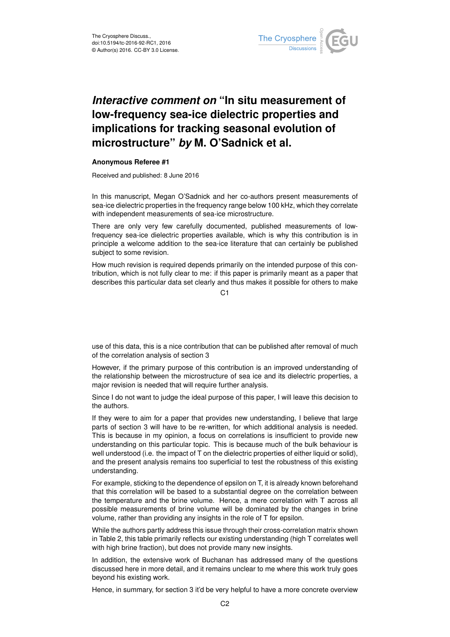

## *Interactive comment on* **"In situ measurement of low-frequency sea-ice dielectric properties and implications for tracking seasonal evolution of microstructure"** *by* **M. O'Sadnick et al.**

## **Anonymous Referee #1**

Received and published: 8 June 2016

In this manuscript, Megan O'Sadnick and her co-authors present measurements of sea-ice dielectric properties in the frequency range below 100 kHz, which they correlate with independent measurements of sea-ice microstructure.

There are only very few carefully documented, published measurements of lowfrequency sea-ice dielectric properties available, which is why this contribution is in principle a welcome addition to the sea-ice literature that can certainly be published subject to some revision.

How much revision is required depends primarily on the intended purpose of this contribution, which is not fully clear to me: if this paper is primarily meant as a paper that describes this particular data set clearly and thus makes it possible for others to make

 $C<sub>1</sub>$ 

use of this data, this is a nice contribution that can be published after removal of much of the correlation analysis of section 3

However, if the primary purpose of this contribution is an improved understanding of the relationship between the microstructure of sea ice and its dielectric properties, a major revision is needed that will require further analysis.

Since I do not want to judge the ideal purpose of this paper, I will leave this decision to the authors.

If they were to aim for a paper that provides new understanding, I believe that large parts of section 3 will have to be re-written, for which additional analysis is needed. This is because in my opinion, a focus on correlations is insufficient to provide new understanding on this particular topic. This is because much of the bulk behaviour is well understood (i.e. the impact of T on the dielectric properties of either liquid or solid), and the present analysis remains too superficial to test the robustness of this existing understanding.

For example, sticking to the dependence of epsilon on T, it is already known beforehand that this correlation will be based to a substantial degree on the correlation between the temperature and the brine volume. Hence, a mere correlation with T across all possible measurements of brine volume will be dominated by the changes in brine volume, rather than providing any insights in the role of T for epsilon.

While the authors partly address this issue through their cross-correlation matrix shown in Table 2, this table primarily reflects our existing understanding (high T correlates well with high brine fraction), but does not provide many new insights.

In addition, the extensive work of Buchanan has addressed many of the questions discussed here in more detail, and it remains unclear to me where this work truly goes beyond his existing work.

Hence, in summary, for section 3 it'd be very helpful to have a more concrete overview